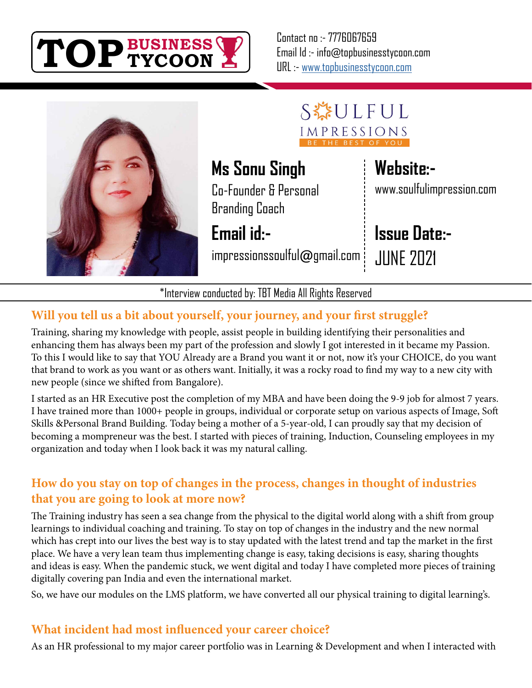

Contact no :- 7776067659 Email Id :- info@topbusinesstycoon.com URL :- [www.topbusinesstycoon.com](https://www.topbusinesstycoon.com/)



SEULFUL IMPRESSIONS

# **Ms Sonu Singh**

Co-Founder & Personal Branding Coach

**Email id:-**

impressionssoulful@gmail.com

## **Website:-**

www.soulfulimpression.com

# **Issue Date:-**

JUNE 2021

\*Interview conducted by: TBT Media All Rights Reserved

### **Will you tell us a bit about yourself, your journey, and your first struggle?**

Training, sharing my knowledge with people, assist people in building identifying their personalities and enhancing them has always been my part of the profession and slowly I got interested in it became my Passion. To this I would like to say that YOU Already are a Brand you want it or not, now it's your CHOICE, do you want that brand to work as you want or as others want. Initially, it was a rocky road to find my way to a new city with new people (since we shifted from Bangalore).

I started as an HR Executive post the completion of my MBA and have been doing the 9-9 job for almost 7 years. I have trained more than 1000+ people in groups, individual or corporate setup on various aspects of Image, Soft Skills &Personal Brand Building. Today being a mother of a 5-year-old, I can proudly say that my decision of becoming a mompreneur was the best. I started with pieces of training, Induction, Counseling employees in my organization and today when I look back it was my natural calling.

#### **How do you stay on top of changes in the process, changes in thought of industries that you are going to look at more now?**

The Training industry has seen a sea change from the physical to the digital world along with a shift from group learnings to individual coaching and training. To stay on top of changes in the industry and the new normal which has crept into our lives the best way is to stay updated with the latest trend and tap the market in the first place. We have a very lean team thus implementing change is easy, taking decisions is easy, sharing thoughts and ideas is easy. When the pandemic stuck, we went digital and today I have completed more pieces of training digitally covering pan India and even the international market.

So, we have our modules on the LMS platform, we have converted all our physical training to digital learning's.

#### **What incident had most influenced your career choice?**

As an HR professional to my major career portfolio was in Learning & Development and when I interacted with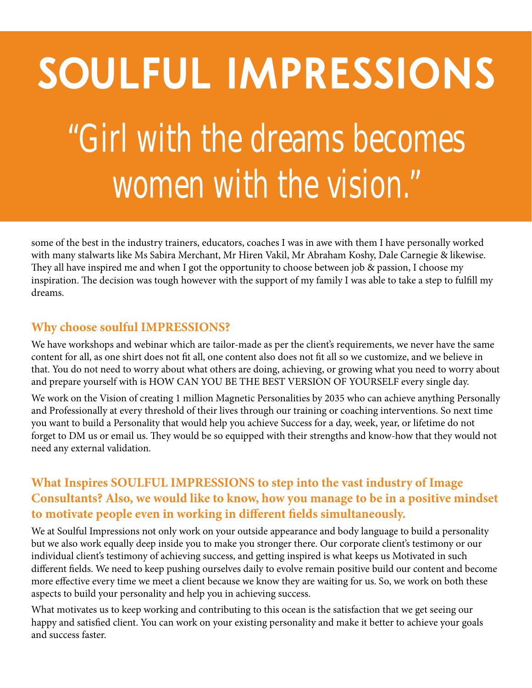# "Girl with the dreams becomes women with the vision." **SOULFUL IMPRESSIONS**

some of the best in the industry trainers, educators, coaches I was in awe with them I have personally worked with many stalwarts like Ms Sabira Merchant, Mr Hiren Vakil, Mr Abraham Koshy, Dale Carnegie & likewise. They all have inspired me and when I got the opportunity to choose between job & passion, I choose my inspiration. The decision was tough however with the support of my family I was able to take a step to fulfill my dreams.

#### **Why choose soulful IMPRESSIONS?**

We have workshops and webinar which are tailor-made as per the client's requirements, we never have the same content for all, as one shirt does not fit all, one content also does not fit all so we customize, and we believe in that. You do not need to worry about what others are doing, achieving, or growing what you need to worry about and prepare yourself with is HOW CAN YOU BE THE BEST VERSION OF YOURSELF every single day.

We work on the Vision of creating 1 million Magnetic Personalities by 2035 who can achieve anything Personally and Professionally at every threshold of their lives through our training or coaching interventions. So next time you want to build a Personality that would help you achieve Success for a day, week, year, or lifetime do not forget to DM us or email us. They would be so equipped with their strengths and know-how that they would not need any external validation.

#### **What Inspires SOULFUL IMPRESSIONS to step into the vast industry of Image Consultants? Also, we would like to know, how you manage to be in a positive mindset to motivate people even in working in different fields simultaneously.**

We at Soulful Impressions not only work on your outside appearance and body language to build a personality but we also work equally deep inside you to make you stronger there. Our corporate client's testimony or our individual client's testimony of achieving success, and getting inspired is what keeps us Motivated in such different fields. We need to keep pushing ourselves daily to evolve remain positive build our content and become more effective every time we meet a client because we know they are waiting for us. So, we work on both these aspects to build your personality and help you in achieving success.

What motivates us to keep working and contributing to this ocean is the satisfaction that we get seeing our happy and satisfied client. You can work on your existing personality and make it better to achieve your goals and success faster.